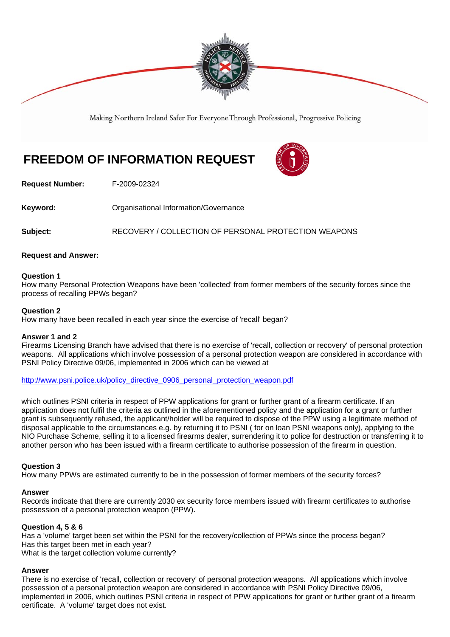

Making Northern Ireland Safer For Everyone Through Professional, Progressive Policing

# **FREEDOM OF INFORMATION REQUEST**



**Request Number:** F-2009-02324

**Keyword: Communistry Communistional Information/Governance** 

**Subject:** RECOVERY / COLLECTION OF PERSONAL PROTECTION WEAPONS

### **Request and Answer:**

### **Question 1**

How many Personal Protection Weapons have been 'collected' from former members of the security forces since the process of recalling PPWs began?

### **Question 2**

How many have been recalled in each year since the exercise of 'recall' began?

### **Answer 1 and 2**

Firearms Licensing Branch have advised that there is no exercise of 'recall, collection or recovery' of personal protection weapons. All applications which involve possession of a personal protection weapon are considered in accordance with PSNI Policy Directive 09/06, implemented in 2006 which can be viewed at

http://www.psni.police.uk/policy\_directive\_0906\_personal\_protection\_weapon.pdf

which outlines PSNI criteria in respect of PPW applications for grant or further grant of a firearm certificate. If an application does not fulfil the criteria as outlined in the aforementioned policy and the application for a grant or further grant is subsequently refused, the applicant/holder will be required to dispose of the PPW using a legitimate method of disposal applicable to the circumstances e.g. by returning it to PSNI ( for on loan PSNI weapons only), applying to the NIO Purchase Scheme, selling it to a licensed firearms dealer, surrendering it to police for destruction or transferring it to another person who has been issued with a firearm certificate to authorise possession of the firearm in question.

### **Question 3**

How many PPWs are estimated currently to be in the possession of former members of the security forces?

### **Answer**

Records indicate that there are currently 2030 ex security force members issued with firearm certificates to authorise possession of a personal protection weapon (PPW).

### **Question 4, 5 & 6**

Has a 'volume' target been set within the PSNI for the recovery/collection of PPWs since the process began? Has this target been met in each year? What is the target collection volume currently?

### **Answer**

There is no exercise of 'recall, collection or recovery' of personal protection weapons. All applications which involve possession of a personal protection weapon are considered in accordance with PSNI Policy Directive 09/06, implemented in 2006, which outlines PSNI criteria in respect of PPW applications for grant or further grant of a firearm certificate. A 'volume' target does not exist.